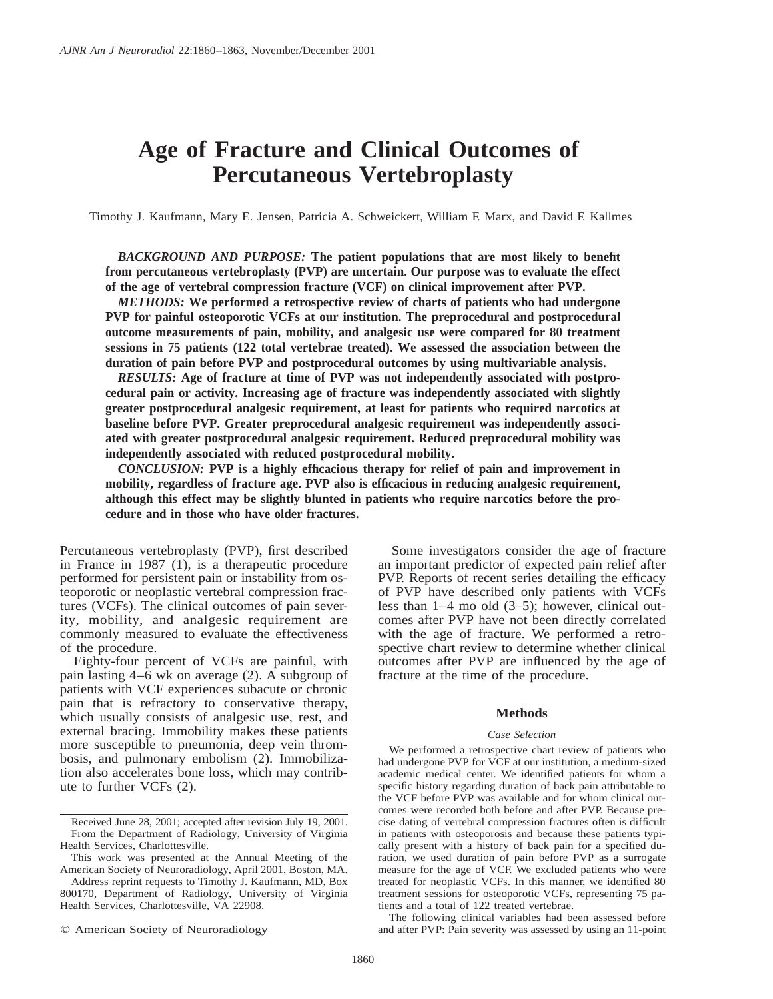# **Age of Fracture and Clinical Outcomes of Percutaneous Vertebroplasty**

Timothy J. Kaufmann, Mary E. Jensen, Patricia A. Schweickert, William F. Marx, and David F. Kallmes

*BACKGROUND AND PURPOSE:* **The patient populations that are most likely to benefit from percutaneous vertebroplasty (PVP) are uncertain. Our purpose was to evaluate the effect of the age of vertebral compression fracture (VCF) on clinical improvement after PVP.**

*METHODS:* **We performed a retrospective review of charts of patients who had undergone PVP for painful osteoporotic VCFs at our institution. The preprocedural and postprocedural outcome measurements of pain, mobility, and analgesic use were compared for 80 treatment sessions in 75 patients (122 total vertebrae treated). We assessed the association between the duration of pain before PVP and postprocedural outcomes by using multivariable analysis.**

*RESULTS:* **Age of fracture at time of PVP was not independently associated with postprocedural pain or activity. Increasing age of fracture was independently associated with slightly greater postprocedural analgesic requirement, at least for patients who required narcotics at baseline before PVP. Greater preprocedural analgesic requirement was independently associated with greater postprocedural analgesic requirement. Reduced preprocedural mobility was independently associated with reduced postprocedural mobility.**

*CONCLUSION:* **PVP is a highly efficacious therapy for relief of pain and improvement in mobility, regardless of fracture age. PVP also is efficacious in reducing analgesic requirement, although this effect may be slightly blunted in patients who require narcotics before the procedure and in those who have older fractures.**

Percutaneous vertebroplasty (PVP), first described in France in 1987 (1), is a therapeutic procedure performed for persistent pain or instability from osteoporotic or neoplastic vertebral compression fractures (VCFs). The clinical outcomes of pain severity, mobility, and analgesic requirement are commonly measured to evaluate the effectiveness of the procedure.

Eighty-four percent of VCFs are painful, with pain lasting 4–6 wk on average (2). A subgroup of patients with VCF experiences subacute or chronic pain that is refractory to conservative therapy, which usually consists of analgesic use, rest, and external bracing. Immobility makes these patients more susceptible to pneumonia, deep vein thrombosis, and pulmonary embolism (2). Immobilization also accelerates bone loss, which may contribute to further VCFs (2).

Some investigators consider the age of fracture an important predictor of expected pain relief after PVP. Reports of recent series detailing the efficacy of PVP have described only patients with VCFs less than 1–4 mo old (3–5); however, clinical outcomes after PVP have not been directly correlated with the age of fracture. We performed a retrospective chart review to determine whether clinical outcomes after PVP are influenced by the age of fracture at the time of the procedure.

### **Methods**

## *Case Selection*

We performed a retrospective chart review of patients who had undergone PVP for VCF at our institution, a medium-sized academic medical center. We identified patients for whom a specific history regarding duration of back pain attributable to the VCF before PVP was available and for whom clinical outcomes were recorded both before and after PVP. Because precise dating of vertebral compression fractures often is difficult in patients with osteoporosis and because these patients typically present with a history of back pain for a specified duration, we used duration of pain before PVP as a surrogate measure for the age of VCF. We excluded patients who were treated for neoplastic VCFs. In this manner, we identified 80 treatment sessions for osteoporotic VCFs, representing 75 patients and a total of 122 treated vertebrae.

The following clinical variables had been assessed before and after PVP: Pain severity was assessed by using an 11-point

Received June 28, 2001; accepted after revision July 19, 2001. From the Department of Radiology, University of Virginia Health Services, Charlottesville.

This work was presented at the Annual Meeting of the American Society of Neuroradiology, April 2001, Boston, MA.

Address reprint requests to Timothy J. Kaufmann, MD, Box 800170, Department of Radiology, University of Virginia Health Services, Charlottesville, VA 22908.

 $©$  American Society of Neuroradiology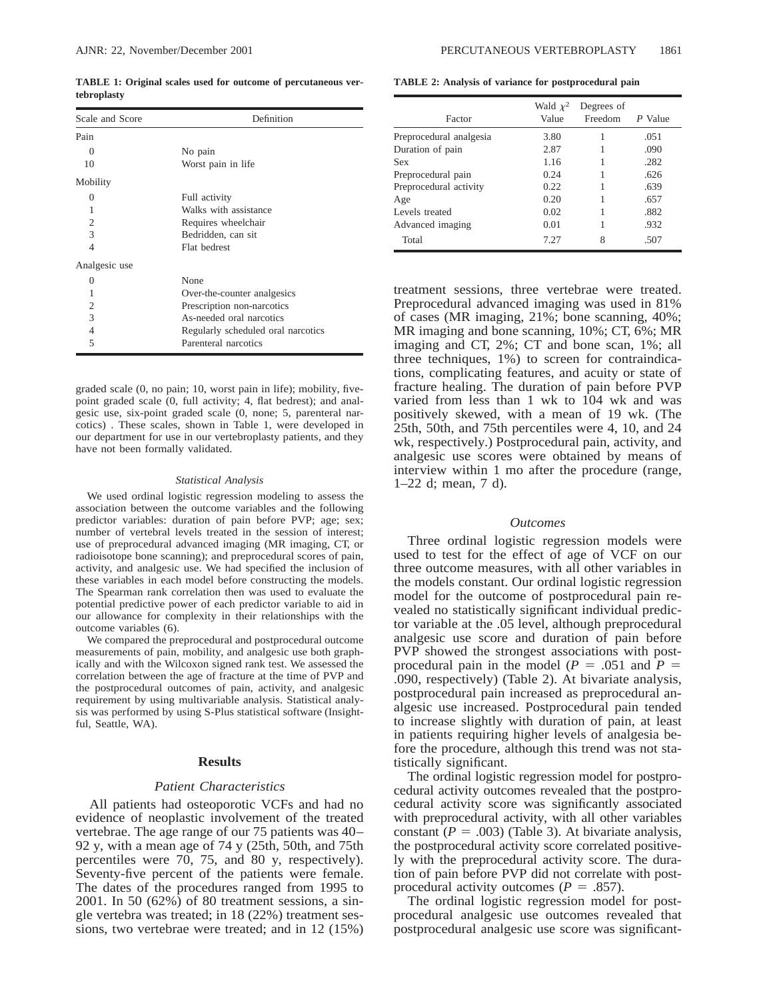**TABLE 1: Original scales used for outcome of percutaneous vertebroplasty**

| Scale and Score | Definition                         |  |
|-----------------|------------------------------------|--|
| Pain            |                                    |  |
| 0               | No pain                            |  |
| 10              | Worst pain in life                 |  |
| Mobility        |                                    |  |
| 0               | Full activity                      |  |
|                 | Walks with assistance              |  |
| $\overline{2}$  | Requires wheelchair                |  |
| 3               | Bedridden, can sit                 |  |
| 4               | Flat bedrest                       |  |
| Analgesic use   |                                    |  |
| 0               | None                               |  |
| 1               | Over-the-counter analgesics        |  |
| $\overline{c}$  | Prescription non-narcotics         |  |
| 3               | As-needed oral narcotics           |  |
| 4               | Regularly scheduled oral narcotics |  |
| $\overline{5}$  | Parenteral narcotics               |  |

graded scale (0, no pain; 10, worst pain in life); mobility, fivepoint graded scale (0, full activity; 4, flat bedrest); and analgesic use, six-point graded scale (0, none; 5, parenteral narcotics) . These scales, shown in Table 1, were developed in our department for use in our vertebroplasty patients, and they have not been formally validated.

#### *Statistical Analysis*

We used ordinal logistic regression modeling to assess the association between the outcome variables and the following predictor variables: duration of pain before PVP; age; sex; number of vertebral levels treated in the session of interest; use of preprocedural advanced imaging (MR imaging, CT, or radioisotope bone scanning); and preprocedural scores of pain, activity, and analgesic use. We had specified the inclusion of these variables in each model before constructing the models. The Spearman rank correlation then was used to evaluate the potential predictive power of each predictor variable to aid in our allowance for complexity in their relationships with the outcome variables (6).

We compared the preprocedural and postprocedural outcome measurements of pain, mobility, and analgesic use both graphically and with the Wilcoxon signed rank test. We assessed the correlation between the age of fracture at the time of PVP and the postprocedural outcomes of pain, activity, and analgesic requirement by using multivariable analysis. Statistical analysis was performed by using S-Plus statistical software (Insightful, Seattle, WA).

#### **Results**

#### *Patient Characteristics*

All patients had osteoporotic VCFs and had no evidence of neoplastic involvement of the treated vertebrae. The age range of our 75 patients was 40– 92 y, with a mean age of 74 y (25th, 50th, and 75th percentiles were 70, 75, and 80 y, respectively). Seventy-five percent of the patients were female. The dates of the procedures ranged from 1995 to 2001. In 50 (62%) of 80 treatment sessions, a single vertebra was treated; in 18 (22%) treatment sessions, two vertebrae were treated; and in 12 (15%)

**TABLE 2: Analysis of variance for postprocedural pain**

| Factor                  | Wald $\chi^2$<br>Value | Degrees of<br>Freedom | P Value |
|-------------------------|------------------------|-----------------------|---------|
| Preprocedural analgesia | 3.80                   |                       | .051    |
| Duration of pain        | 2.87                   |                       | .090    |
| Sex                     | 1.16                   |                       | .282    |
| Preprocedural pain      | 0.24                   |                       | .626    |
| Preprocedural activity  | 0.22                   |                       | .639    |
| Age                     | 0.20                   |                       | .657    |
| Levels treated          | 0.02                   | 1                     | .882    |
| Advanced imaging        | 0.01                   | 1                     | .932    |
| Total                   | 7.27                   | 8                     | .507    |

treatment sessions, three vertebrae were treated. Preprocedural advanced imaging was used in 81% of cases (MR imaging, 21%; bone scanning, 40%; MR imaging and bone scanning, 10%; CT, 6%; MR imaging and CT, 2%; CT and bone scan, 1%; all three techniques, 1%) to screen for contraindications, complicating features, and acuity or state of fracture healing. The duration of pain before PVP varied from less than 1 wk to 104 wk and was positively skewed, with a mean of 19 wk. (The 25th, 50th, and 75th percentiles were 4, 10, and 24 wk, respectively.) Postprocedural pain, activity, and analgesic use scores were obtained by means of interview within 1 mo after the procedure (range, 1–22 d; mean, 7 d).

#### *Outcomes*

Three ordinal logistic regression models were used to test for the effect of age of VCF on our three outcome measures, with all other variables in the models constant. Our ordinal logistic regression model for the outcome of postprocedural pain revealed no statistically significant individual predictor variable at the .05 level, although preprocedural analgesic use score and duration of pain before PVP showed the strongest associations with postprocedural pain in the model ( $P = .051$  and  $P =$ .090, respectively) (Table 2). At bivariate analysis, postprocedural pain increased as preprocedural analgesic use increased. Postprocedural pain tended to increase slightly with duration of pain, at least in patients requiring higher levels of analgesia before the procedure, although this trend was not statistically significant.

The ordinal logistic regression model for postprocedural activity outcomes revealed that the postprocedural activity score was significantly associated with preprocedural activity, with all other variables constant  $(P = .003)$  (Table 3). At bivariate analysis, the postprocedural activity score correlated positively with the preprocedural activity score. The duration of pain before PVP did not correlate with postprocedural activity outcomes ( $P = .857$ ).

The ordinal logistic regression model for postprocedural analgesic use outcomes revealed that postprocedural analgesic use score was significant-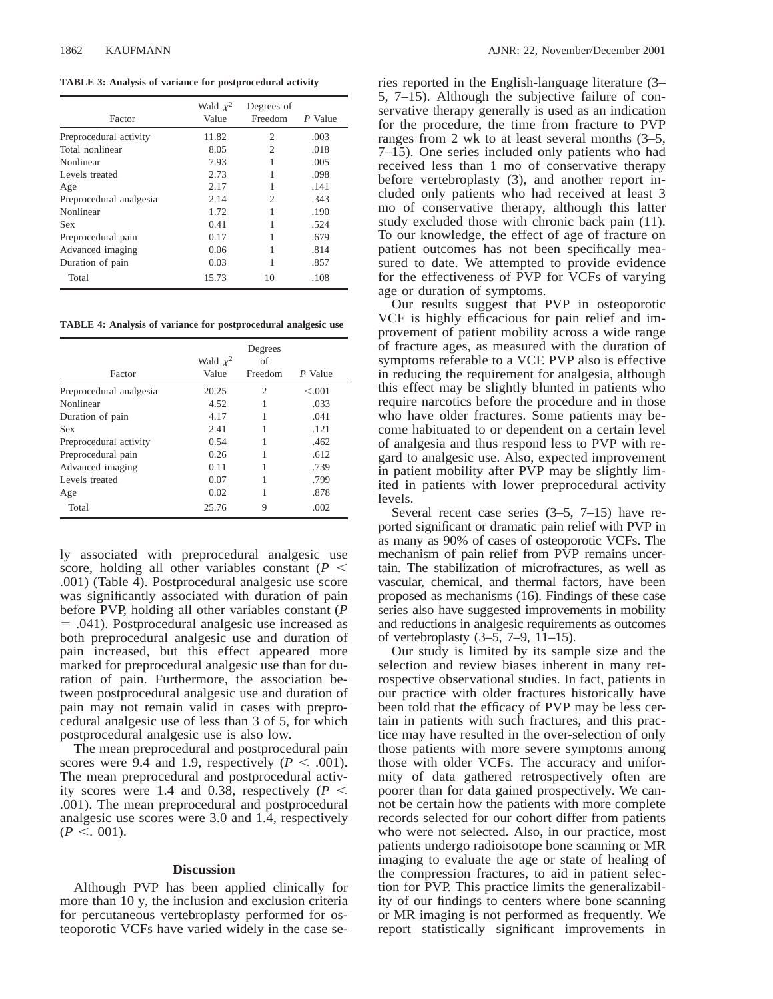**TABLE 3: Analysis of variance for postprocedural activity**

| Factor                  | Wald $\chi^2$<br>Value | Degrees of<br>Freedom | P Value |
|-------------------------|------------------------|-----------------------|---------|
| Preprocedural activity  | 11.82                  | 2                     | .003    |
| Total nonlinear         | 8.05                   | $\mathfrak{D}$        | .018    |
| Nonlinear               | 7.93                   |                       | .005    |
| Levels treated          | 2.73                   | 1                     | .098    |
| Age                     | 2.17                   |                       | .141    |
| Preprocedural analgesia | 2.14                   | 2                     | .343    |
| Nonlinear               | 1.72                   |                       | .190    |
| Sex                     | 0.41                   | 1                     | .524    |
| Preprocedural pain      | 0.17                   |                       | .679    |
| Advanced imaging        | 0.06                   | 1                     | .814    |
| Duration of pain        | 0.03                   | 1                     | .857    |
| Total                   | 15.73                  | 10                    | .108    |

**TABLE 4: Analysis of variance for postprocedural analgesic use**

|                         |                        | Degrees                     |         |
|-------------------------|------------------------|-----------------------------|---------|
| Factor                  | Wald $\chi^2$<br>Value | of<br>Freedom               | P Value |
|                         |                        |                             |         |
| Preprocedural analgesia | 20.25                  | $\mathcal{D}_{\mathcal{L}}$ | < 0.001 |
| Nonlinear               | 4.52                   |                             | .033    |
| Duration of pain        | 4.17                   |                             | .041    |
| <b>Sex</b>              | 2.41                   |                             | .121    |
| Preprocedural activity  | 0.54                   |                             | .462    |
| Preprocedural pain      | 0.26                   |                             | .612    |
| Advanced imaging        | 0.11                   |                             | .739    |
| Levels treated          | 0.07                   |                             | .799    |
| Age                     | 0.02                   |                             | .878    |
| Total                   | 25.76                  | 9                           | .002    |

ly associated with preprocedural analgesic use score, holding all other variables constant ( $P \leq$ .001) (Table 4). Postprocedural analgesic use score was significantly associated with duration of pain before PVP, holding all other variables constant (*P* 5 .041). Postprocedural analgesic use increased as both preprocedural analgesic use and duration of pain increased, but this effect appeared more marked for preprocedural analgesic use than for duration of pain. Furthermore, the association between postprocedural analgesic use and duration of pain may not remain valid in cases with preprocedural analgesic use of less than 3 of 5, for which postprocedural analgesic use is also low.

The mean preprocedural and postprocedural pain scores were 9.4 and 1.9, respectively  $(P < .001)$ . The mean preprocedural and postprocedural activity scores were 1.4 and 0.38, respectively  $(P \leq$ .001). The mean preprocedural and postprocedural analgesic use scores were 3.0 and 1.4, respectively  $(P < . 001)$ .

#### **Discussion**

Although PVP has been applied clinically for more than 10 y, the inclusion and exclusion criteria for percutaneous vertebroplasty performed for osteoporotic VCFs have varied widely in the case series reported in the English-language literature (3– 5, 7–15). Although the subjective failure of conservative therapy generally is used as an indication for the procedure, the time from fracture to PVP ranges from 2 wk to at least several months (3–5, 7–15). One series included only patients who had received less than 1 mo of conservative therapy before vertebroplasty (3), and another report included only patients who had received at least 3 mo of conservative therapy, although this latter study excluded those with chronic back pain (11). To our knowledge, the effect of age of fracture on patient outcomes has not been specifically measured to date. We attempted to provide evidence for the effectiveness of PVP for VCFs of varying age or duration of symptoms.

Our results suggest that PVP in osteoporotic VCF is highly efficacious for pain relief and improvement of patient mobility across a wide range of fracture ages, as measured with the duration of symptoms referable to a VCF. PVP also is effective in reducing the requirement for analgesia, although this effect may be slightly blunted in patients who require narcotics before the procedure and in those who have older fractures. Some patients may become habituated to or dependent on a certain level of analgesia and thus respond less to PVP with regard to analgesic use. Also, expected improvement in patient mobility after PVP may be slightly limited in patients with lower preprocedural activity levels.

Several recent case series (3–5, 7–15) have reported significant or dramatic pain relief with PVP in as many as 90% of cases of osteoporotic VCFs. The mechanism of pain relief from PVP remains uncertain. The stabilization of microfractures, as well as vascular, chemical, and thermal factors, have been proposed as mechanisms (16). Findings of these case series also have suggested improvements in mobility and reductions in analgesic requirements as outcomes of vertebroplasty (3–5, 7–9, 11–15).

Our study is limited by its sample size and the selection and review biases inherent in many retrospective observational studies. In fact, patients in our practice with older fractures historically have been told that the efficacy of PVP may be less certain in patients with such fractures, and this practice may have resulted in the over-selection of only those patients with more severe symptoms among those with older VCFs. The accuracy and uniformity of data gathered retrospectively often are poorer than for data gained prospectively. We cannot be certain how the patients with more complete records selected for our cohort differ from patients who were not selected. Also, in our practice, most patients undergo radioisotope bone scanning or MR imaging to evaluate the age or state of healing of the compression fractures, to aid in patient selection for PVP. This practice limits the generalizability of our findings to centers where bone scanning or MR imaging is not performed as frequently. We report statistically significant improvements in